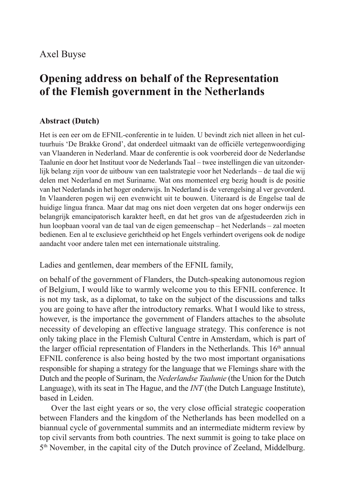## Axel Buyse

# **Opening address on behalf of the Representation of the Flemish government in the Netherlands**

### **Abstract (Dutch)**

Het is een eer om de EFNIL-conferentie in te luiden. U bevindt zich niet alleen in het cultuurhuis 'De Brakke Grond', dat onderdeel uitmaakt van de officiële vertegenwoordiging van Vlaanderen in Nederland. Maar de conferentie is ook voorbereid door de Nederlandse Taalunie en door het Instituut voor de Nederlands Taal – twee instellingen die van uitzonderlijk belang zijn voor de uitbouw van een taalstrategie voor het Nederlands – de taal die wij delen met Nederland en met Suriname. Wat ons momenteel erg bezig houdt is de positie van het Nederlands in het hoger onderwijs. In Nederland is de verengelsing al ver gevorderd. In Vlaanderen pogen wij een evenwicht uit te bouwen. Uiteraard is de Engelse taal de huidige lingua franca. Maar dat mag ons niet doen vergeten dat ons hoger onderwijs een belangrijk emancipatorisch karakter heeft, en dat het gros van de afgestudeerden zich in hun loopbaan vooral van de taal van de eigen gemeenschap – het Nederlands – zal moeten bedienen. Een al te exclusieve gerichtheid op het Engels verhindert overigens ook de nodige aandacht voor andere talen met een internationale uitstraling.

Ladies and gentlemen, dear members of the EFNIL family,

on behalf of the government of Flanders, the Dutch-speaking autonomous region of Belgium, I would like to warmly welcome you to this EFNIL conference. It is not my task, as a diplomat, to take on the subject of the discussions and talks you are going to have after the introductory remarks. What I would like to stress, however, is the importance the government of Flanders attaches to the absolute necessity of developing an effective language strategy. This conference is not only taking place in the Flemish Cultural Centre in Amsterdam, which is part of the larger official representation of Flanders in the Netherlands. This 16<sup>th</sup> annual EFNIL conference is also being hosted by the two most important organisations responsible for shaping a strategy for the language that we Flemings share with the Dutch and the people of Surinam, the *Nederlandse Taalunie* (the Union for the Dutch Language), with its seat in The Hague, and the *INT* (the Dutch Language Institute), based in Leiden.

Over the last eight years or so, the very close official strategic cooperation between Flanders and the kingdom of the Netherlands has been modelled on a biannual cycle of governmental summits and an intermediate midterm review by top civil servants from both countries. The next summit is going to take place on 5th November, in the capital city of the Dutch province of Zeeland, Middelburg.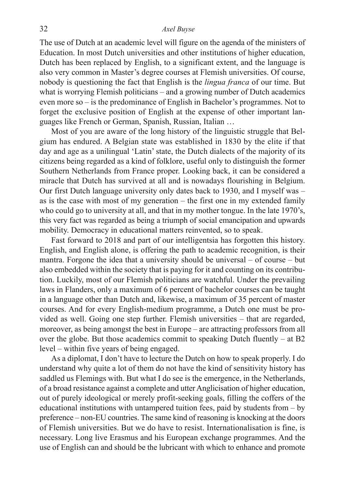#### 32 *Axel Buyse*

The use of Dutch at an academic level will figure on the agenda of the ministers of Education. In most Dutch universities and other institutions of higher education, Dutch has been replaced by English, to a significant extent, and the language is also very common in Master's degree courses at Flemish universities. Of course, nobody is questioning the fact that English is the *lingua franca* of our time. But what is worrying Flemish politicians – and a growing number of Dutch academics even more so – is the predominance of English in Bachelor's programmes. Not to forget the exclusive position of English at the expense of other important languages like French or German, Spanish, Russian, Italian …

Most of you are aware of the long history of the linguistic struggle that Belgium has endured. A Belgian state was established in 1830 by the elite if that day and age as a unilingual 'Latin' state, the Dutch dialects of the majority of its citizens being regarded as a kind of folklore, useful only to distinguish the former Southern Netherlands from France proper. Looking back, it can be considered a miracle that Dutch has survived at all and is nowadays flourishing in Belgium. Our first Dutch language university only dates back to 1930, and I myself was – as is the case with most of my generation – the first one in my extended family who could go to university at all, and that in my mother tongue. In the late 1970's, this very fact was regarded as being a triumph of social emancipation and upwards mobility. Democracy in educational matters reinvented, so to speak.

Fast forward to 2018 and part of our intelligentsia has forgotten this history. English, and English alone, is offering the path to academic recognition, is their mantra. Forgone the idea that a university should be universal – of course – but also embedded within the society that is paying for it and counting on its contribution. Luckily, most of our Flemish politicians are watchful. Under the prevailing laws in Flanders, only a maximum of 6 percent of bachelor courses can be taught in a language other than Dutch and, likewise, a maximum of 35 percent of master courses. And for every English-medium programme, a Dutch one must be provided as well. Going one step further. Flemish universities – that are regarded, moreover, as being amongst the best in Europe – are attracting professors from all over the globe. But those academics commit to speaking Dutch fluently – at B2 level – within five years of being engaged.

As a diplomat, I don't have to lecture the Dutch on how to speak properly. I do understand why quite a lot of them do not have the kind of sensitivity history has saddled us Flemings with. But what I do see is the emergence, in the Netherlands, of a broad resistance against a complete and utter Anglicisation of higher education, out of purely ideological or merely profit-seeking goals, filling the coffers of the educational institutions with untampered tuition fees, paid by students from – by preference – non-EU countries. The same kind of reasoning is knocking at the doors of Flemish universities. But we do have to resist. Internationalisation is fine, is necessary. Long live Erasmus and his European exchange programmes. And the use of English can and should be the lubricant with which to enhance and promote